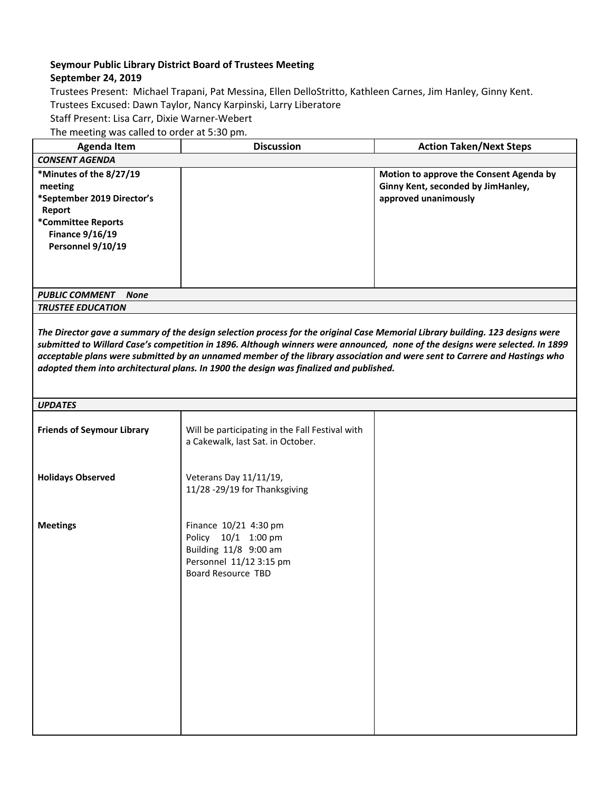## **Seymour Public Library District Board of Trustees Meeting**

## **September 24, 2019**

Trustees Present: Michael Trapani, Pat Messina, Ellen DelloStritto, Kathleen Carnes, Jim Hanley, Ginny Kent. Trustees Excused: Dawn Taylor, Nancy Karpinski, Larry Liberatore Staff Present: Lisa Carr, Dixie Warner-Webert The meeting was called to order at 5:30 pm.

| <b>Agenda Item</b>                                                                                                                              | <b>Discussion</b> | <b>Action Taken/Next Steps</b>                                                                        |  |
|-------------------------------------------------------------------------------------------------------------------------------------------------|-------------------|-------------------------------------------------------------------------------------------------------|--|
| <b>CONSENT AGENDA</b>                                                                                                                           |                   |                                                                                                       |  |
| *Minutes of the 8/27/19<br>meeting<br>*September 2019 Director's<br>Report<br>*Committee Reports<br><b>Finance 9/16/19</b><br>Personnel 9/10/19 |                   | Motion to approve the Consent Agenda by<br>Ginny Kent, seconded by JimHanley,<br>approved unanimously |  |
| <b>PUBLIC COMMENT</b><br><b>None</b>                                                                                                            |                   |                                                                                                       |  |
| <b>TRUSTEE EDUCATION</b>                                                                                                                        |                   |                                                                                                       |  |

The Director gave a summary of the design selection process for the original Case Memorial Library building. 123 designs were submitted to Willard Case's competition in 1896. Although winners were announced, none of the designs were selected. In 1899 acceptable plans were submitted by an unnamed member of the library association and were sent to Carrere and Hastings who *adopted them into architectural plans. In 1900 the design was finalized and published.*

| <b>UPDATES</b>                    |                                                                                                                        |  |  |
|-----------------------------------|------------------------------------------------------------------------------------------------------------------------|--|--|
| <b>Friends of Seymour Library</b> | Will be participating in the Fall Festival with<br>a Cakewalk, last Sat. in October.                                   |  |  |
| <b>Holidays Observed</b>          | Veterans Day 11/11/19,<br>11/28 -29/19 for Thanksgiving                                                                |  |  |
| <b>Meetings</b>                   | Finance 10/21 4:30 pm<br>Policy 10/1 1:00 pm<br>Building 11/8 9:00 am<br>Personnel 11/12 3:15 pm<br>Board Resource TBD |  |  |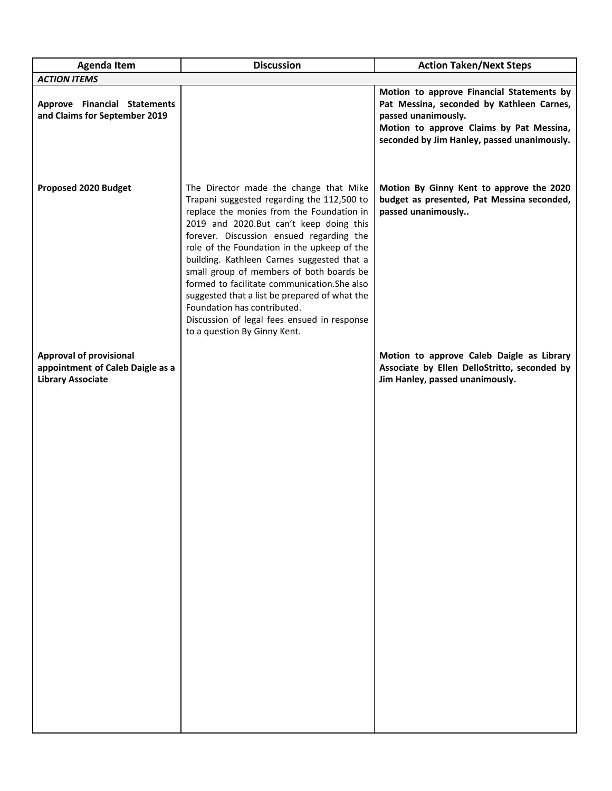| <b>Agenda Item</b>                                                                             | <b>Discussion</b>                                                                                                                                                                                                                                                                                                                                                                                                                                                                                                                                                                | <b>Action Taken/Next Steps</b>                                                                                                                                                                           |
|------------------------------------------------------------------------------------------------|----------------------------------------------------------------------------------------------------------------------------------------------------------------------------------------------------------------------------------------------------------------------------------------------------------------------------------------------------------------------------------------------------------------------------------------------------------------------------------------------------------------------------------------------------------------------------------|----------------------------------------------------------------------------------------------------------------------------------------------------------------------------------------------------------|
| <b>ACTION ITEMS</b>                                                                            |                                                                                                                                                                                                                                                                                                                                                                                                                                                                                                                                                                                  |                                                                                                                                                                                                          |
| <b>Approve Financial Statements</b><br>and Claims for September 2019                           |                                                                                                                                                                                                                                                                                                                                                                                                                                                                                                                                                                                  | Motion to approve Financial Statements by<br>Pat Messina, seconded by Kathleen Carnes,<br>passed unanimously.<br>Motion to approve Claims by Pat Messina,<br>seconded by Jim Hanley, passed unanimously. |
| Proposed 2020 Budget                                                                           | The Director made the change that Mike<br>Trapani suggested regarding the 112,500 to<br>replace the monies from the Foundation in<br>2019 and 2020.But can't keep doing this<br>forever. Discussion ensued regarding the<br>role of the Foundation in the upkeep of the<br>building. Kathleen Carnes suggested that a<br>small group of members of both boards be<br>formed to facilitate communication. She also<br>suggested that a list be prepared of what the<br>Foundation has contributed.<br>Discussion of legal fees ensued in response<br>to a question By Ginny Kent. | Motion By Ginny Kent to approve the 2020<br>budget as presented, Pat Messina seconded,<br>passed unanimously                                                                                             |
| <b>Approval of provisional</b><br>appointment of Caleb Daigle as a<br><b>Library Associate</b> |                                                                                                                                                                                                                                                                                                                                                                                                                                                                                                                                                                                  | Motion to approve Caleb Daigle as Library<br>Associate by Ellen DelloStritto, seconded by<br>Jim Hanley, passed unanimously.                                                                             |